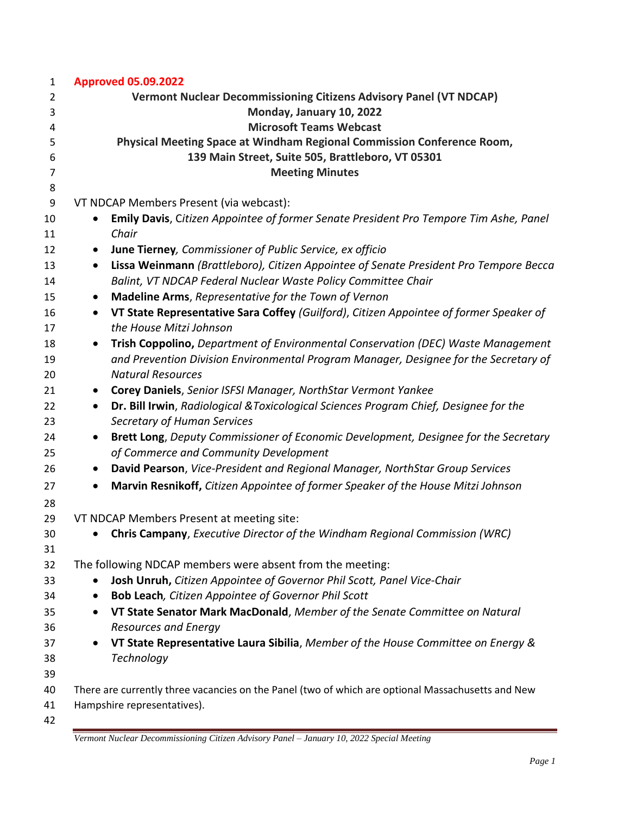| $\mathbf{1}$                                                                                 | <b>Approved 05.09.2022</b>                                                                                                                                                                                                                                                                                                                                                                                                                                                                                                                                                                                                                                                                                                                                                                                                                                                                   |
|----------------------------------------------------------------------------------------------|----------------------------------------------------------------------------------------------------------------------------------------------------------------------------------------------------------------------------------------------------------------------------------------------------------------------------------------------------------------------------------------------------------------------------------------------------------------------------------------------------------------------------------------------------------------------------------------------------------------------------------------------------------------------------------------------------------------------------------------------------------------------------------------------------------------------------------------------------------------------------------------------|
| $\overline{2}$                                                                               | <b>Vermont Nuclear Decommissioning Citizens Advisory Panel (VT NDCAP)</b>                                                                                                                                                                                                                                                                                                                                                                                                                                                                                                                                                                                                                                                                                                                                                                                                                    |
| 3                                                                                            | Monday, January 10, 2022                                                                                                                                                                                                                                                                                                                                                                                                                                                                                                                                                                                                                                                                                                                                                                                                                                                                     |
| 4                                                                                            | <b>Microsoft Teams Webcast</b>                                                                                                                                                                                                                                                                                                                                                                                                                                                                                                                                                                                                                                                                                                                                                                                                                                                               |
| 5                                                                                            | Physical Meeting Space at Windham Regional Commission Conference Room,                                                                                                                                                                                                                                                                                                                                                                                                                                                                                                                                                                                                                                                                                                                                                                                                                       |
| 6                                                                                            | 139 Main Street, Suite 505, Brattleboro, VT 05301                                                                                                                                                                                                                                                                                                                                                                                                                                                                                                                                                                                                                                                                                                                                                                                                                                            |
| 7                                                                                            | <b>Meeting Minutes</b>                                                                                                                                                                                                                                                                                                                                                                                                                                                                                                                                                                                                                                                                                                                                                                                                                                                                       |
| 8                                                                                            |                                                                                                                                                                                                                                                                                                                                                                                                                                                                                                                                                                                                                                                                                                                                                                                                                                                                                              |
| 9                                                                                            | VT NDCAP Members Present (via webcast):                                                                                                                                                                                                                                                                                                                                                                                                                                                                                                                                                                                                                                                                                                                                                                                                                                                      |
| 10                                                                                           | Emily Davis, Citizen Appointee of former Senate President Pro Tempore Tim Ashe, Panel                                                                                                                                                                                                                                                                                                                                                                                                                                                                                                                                                                                                                                                                                                                                                                                                        |
| 11                                                                                           | Chair                                                                                                                                                                                                                                                                                                                                                                                                                                                                                                                                                                                                                                                                                                                                                                                                                                                                                        |
| 12                                                                                           | June Tierney, Commissioner of Public Service, ex officio<br>$\bullet$                                                                                                                                                                                                                                                                                                                                                                                                                                                                                                                                                                                                                                                                                                                                                                                                                        |
| 13                                                                                           | Lissa Weinmann (Brattleboro), Citizen Appointee of Senate President Pro Tempore Becca<br>$\bullet$                                                                                                                                                                                                                                                                                                                                                                                                                                                                                                                                                                                                                                                                                                                                                                                           |
| 14                                                                                           | Balint, VT NDCAP Federal Nuclear Waste Policy Committee Chair                                                                                                                                                                                                                                                                                                                                                                                                                                                                                                                                                                                                                                                                                                                                                                                                                                |
| 15                                                                                           | Madeline Arms, Representative for the Town of Vernon<br>$\bullet$                                                                                                                                                                                                                                                                                                                                                                                                                                                                                                                                                                                                                                                                                                                                                                                                                            |
| 16                                                                                           | VT State Representative Sara Coffey (Guilford), Citizen Appointee of former Speaker of<br>$\bullet$                                                                                                                                                                                                                                                                                                                                                                                                                                                                                                                                                                                                                                                                                                                                                                                          |
| 17                                                                                           | the House Mitzi Johnson                                                                                                                                                                                                                                                                                                                                                                                                                                                                                                                                                                                                                                                                                                                                                                                                                                                                      |
| 18                                                                                           | Trish Coppolino, Department of Environmental Conservation (DEC) Waste Management<br>$\bullet$                                                                                                                                                                                                                                                                                                                                                                                                                                                                                                                                                                                                                                                                                                                                                                                                |
| 19                                                                                           | and Prevention Division Environmental Program Manager, Designee for the Secretary of                                                                                                                                                                                                                                                                                                                                                                                                                                                                                                                                                                                                                                                                                                                                                                                                         |
| 20                                                                                           | <b>Natural Resources</b>                                                                                                                                                                                                                                                                                                                                                                                                                                                                                                                                                                                                                                                                                                                                                                                                                                                                     |
| 21                                                                                           | Corey Daniels, Senior ISFSI Manager, NorthStar Vermont Yankee<br>$\bullet$                                                                                                                                                                                                                                                                                                                                                                                                                                                                                                                                                                                                                                                                                                                                                                                                                   |
| 22                                                                                           | Dr. Bill Irwin, Radiological & Toxicological Sciences Program Chief, Designee for the<br>$\bullet$                                                                                                                                                                                                                                                                                                                                                                                                                                                                                                                                                                                                                                                                                                                                                                                           |
| 23                                                                                           | Secretary of Human Services                                                                                                                                                                                                                                                                                                                                                                                                                                                                                                                                                                                                                                                                                                                                                                                                                                                                  |
| 24                                                                                           |                                                                                                                                                                                                                                                                                                                                                                                                                                                                                                                                                                                                                                                                                                                                                                                                                                                                                              |
| 25                                                                                           |                                                                                                                                                                                                                                                                                                                                                                                                                                                                                                                                                                                                                                                                                                                                                                                                                                                                                              |
| 26                                                                                           | David Pearson, Vice-President and Regional Manager, NorthStar Group Services<br>$\bullet$                                                                                                                                                                                                                                                                                                                                                                                                                                                                                                                                                                                                                                                                                                                                                                                                    |
|                                                                                              | $\bullet$                                                                                                                                                                                                                                                                                                                                                                                                                                                                                                                                                                                                                                                                                                                                                                                                                                                                                    |
|                                                                                              |                                                                                                                                                                                                                                                                                                                                                                                                                                                                                                                                                                                                                                                                                                                                                                                                                                                                                              |
|                                                                                              |                                                                                                                                                                                                                                                                                                                                                                                                                                                                                                                                                                                                                                                                                                                                                                                                                                                                                              |
|                                                                                              |                                                                                                                                                                                                                                                                                                                                                                                                                                                                                                                                                                                                                                                                                                                                                                                                                                                                                              |
|                                                                                              |                                                                                                                                                                                                                                                                                                                                                                                                                                                                                                                                                                                                                                                                                                                                                                                                                                                                                              |
|                                                                                              |                                                                                                                                                                                                                                                                                                                                                                                                                                                                                                                                                                                                                                                                                                                                                                                                                                                                                              |
|                                                                                              |                                                                                                                                                                                                                                                                                                                                                                                                                                                                                                                                                                                                                                                                                                                                                                                                                                                                                              |
|                                                                                              |                                                                                                                                                                                                                                                                                                                                                                                                                                                                                                                                                                                                                                                                                                                                                                                                                                                                                              |
|                                                                                              | $\bullet$                                                                                                                                                                                                                                                                                                                                                                                                                                                                                                                                                                                                                                                                                                                                                                                                                                                                                    |
|                                                                                              |                                                                                                                                                                                                                                                                                                                                                                                                                                                                                                                                                                                                                                                                                                                                                                                                                                                                                              |
|                                                                                              | $\bullet$                                                                                                                                                                                                                                                                                                                                                                                                                                                                                                                                                                                                                                                                                                                                                                                                                                                                                    |
|                                                                                              |                                                                                                                                                                                                                                                                                                                                                                                                                                                                                                                                                                                                                                                                                                                                                                                                                                                                                              |
|                                                                                              |                                                                                                                                                                                                                                                                                                                                                                                                                                                                                                                                                                                                                                                                                                                                                                                                                                                                                              |
|                                                                                              |                                                                                                                                                                                                                                                                                                                                                                                                                                                                                                                                                                                                                                                                                                                                                                                                                                                                                              |
|                                                                                              |                                                                                                                                                                                                                                                                                                                                                                                                                                                                                                                                                                                                                                                                                                                                                                                                                                                                                              |
|                                                                                              |                                                                                                                                                                                                                                                                                                                                                                                                                                                                                                                                                                                                                                                                                                                                                                                                                                                                                              |
| 27<br>28<br>29<br>30<br>31<br>32<br>33<br>34<br>35<br>36<br>37<br>38<br>39<br>40<br>41<br>42 | Brett Long, Deputy Commissioner of Economic Development, Designee for the Secretary<br>of Commerce and Community Development<br>Marvin Resnikoff, Citizen Appointee of former Speaker of the House Mitzi Johnson<br>VT NDCAP Members Present at meeting site:<br>Chris Campany, Executive Director of the Windham Regional Commission (WRC)<br>The following NDCAP members were absent from the meeting:<br>Josh Unruh, Citizen Appointee of Governor Phil Scott, Panel Vice-Chair<br>Bob Leach, Citizen Appointee of Governor Phil Scott<br>VT State Senator Mark MacDonald, Member of the Senate Committee on Natural<br><b>Resources and Energy</b><br>VT State Representative Laura Sibilia, Member of the House Committee on Energy &<br>Technology<br>There are currently three vacancies on the Panel (two of which are optional Massachusetts and New<br>Hampshire representatives). |

*Vermont Nuclear Decommissioning Citizen Advisory Panel – January 10, 2022 Special Meeting*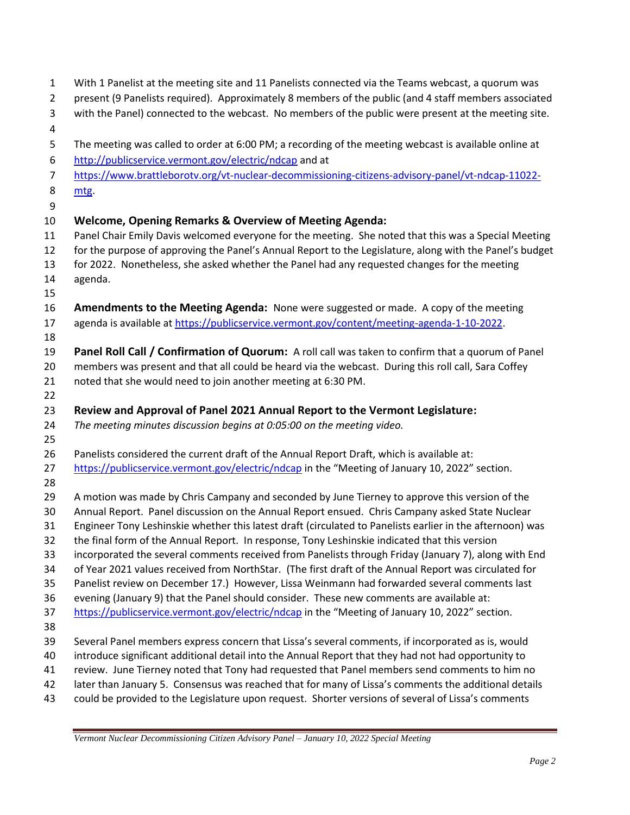| 1              | With 1 Panelist at the meeting site and 11 Panelists connected via the Teams webcast, a quorum was                                                                                                         |
|----------------|------------------------------------------------------------------------------------------------------------------------------------------------------------------------------------------------------------|
| $\overline{2}$ | present (9 Panelists required). Approximately 8 members of the public (and 4 staff members associated                                                                                                      |
| 3<br>4         | with the Panel) connected to the webcast. No members of the public were present at the meeting site.                                                                                                       |
| 5              | The meeting was called to order at 6:00 PM; a recording of the meeting webcast is available online at                                                                                                      |
| 6              | http://publicservice.vermont.gov/electric/ndcap and at                                                                                                                                                     |
| $\overline{7}$ | https://www.brattleborotv.org/vt-nuclear-decommissioning-citizens-advisory-panel/vt-ndcap-11022-                                                                                                           |
| 8              | mtg.                                                                                                                                                                                                       |
| 9              |                                                                                                                                                                                                            |
| 10             | <b>Welcome, Opening Remarks &amp; Overview of Meeting Agenda:</b>                                                                                                                                          |
| 11             | Panel Chair Emily Davis welcomed everyone for the meeting. She noted that this was a Special Meeting                                                                                                       |
| 12             | for the purpose of approving the Panel's Annual Report to the Legislature, along with the Panel's budget                                                                                                   |
| 13             | for 2022. Nonetheless, she asked whether the Panel had any requested changes for the meeting                                                                                                               |
| 14             | agenda.                                                                                                                                                                                                    |
| 15             |                                                                                                                                                                                                            |
| 16             | Amendments to the Meeting Agenda: None were suggested or made. A copy of the meeting                                                                                                                       |
| 17             | agenda is available at https://publicservice.vermont.gov/content/meeting-agenda-1-10-2022.                                                                                                                 |
| 18             |                                                                                                                                                                                                            |
| 19             | Panel Roll Call / Confirmation of Quorum: A roll call was taken to confirm that a quorum of Panel                                                                                                          |
| 20             | members was present and that all could be heard via the webcast. During this roll call, Sara Coffey                                                                                                        |
| 21             | noted that she would need to join another meeting at 6:30 PM.                                                                                                                                              |
| 22             |                                                                                                                                                                                                            |
| 23             | Review and Approval of Panel 2021 Annual Report to the Vermont Legislature:                                                                                                                                |
| 24             | The meeting minutes discussion begins at 0:05:00 on the meeting video.                                                                                                                                     |
| 25             |                                                                                                                                                                                                            |
| 26             | Panelists considered the current draft of the Annual Report Draft, which is available at:                                                                                                                  |
| 27             | https://publicservice.vermont.gov/electric/ndcap in the "Meeting of January 10, 2022" section.                                                                                                             |
| 28             |                                                                                                                                                                                                            |
| 29             | A motion was made by Chris Campany and seconded by June Tierney to approve this version of the                                                                                                             |
| 30             | Annual Report. Panel discussion on the Annual Report ensued. Chris Campany asked State Nuclear                                                                                                             |
| 31             | Engineer Tony Leshinskie whether this latest draft (circulated to Panelists earlier in the afternoon) was                                                                                                  |
| 32             | the final form of the Annual Report. In response, Tony Leshinskie indicated that this version                                                                                                              |
| 33             | incorporated the several comments received from Panelists through Friday (January 7), along with End                                                                                                       |
| 34             | of Year 2021 values received from NorthStar. (The first draft of the Annual Report was circulated for                                                                                                      |
| 35             | Panelist review on December 17.) However, Lissa Weinmann had forwarded several comments last                                                                                                               |
| 36             | evening (January 9) that the Panel should consider. These new comments are available at:                                                                                                                   |
| 37             | https://publicservice.vermont.gov/electric/ndcap in the "Meeting of January 10, 2022" section.                                                                                                             |
| 38             |                                                                                                                                                                                                            |
| 39             | Several Panel members express concern that Lissa's several comments, if incorporated as is, would                                                                                                          |
| 40             | introduce significant additional detail into the Annual Report that they had not had opportunity to                                                                                                        |
| 41             | review. June Tierney noted that Tony had requested that Panel members send comments to him no                                                                                                              |
| 42<br>43       | later than January 5. Consensus was reached that for many of Lissa's comments the additional details<br>could be provided to the Legislature upon request. Shorter versions of several of Lissa's comments |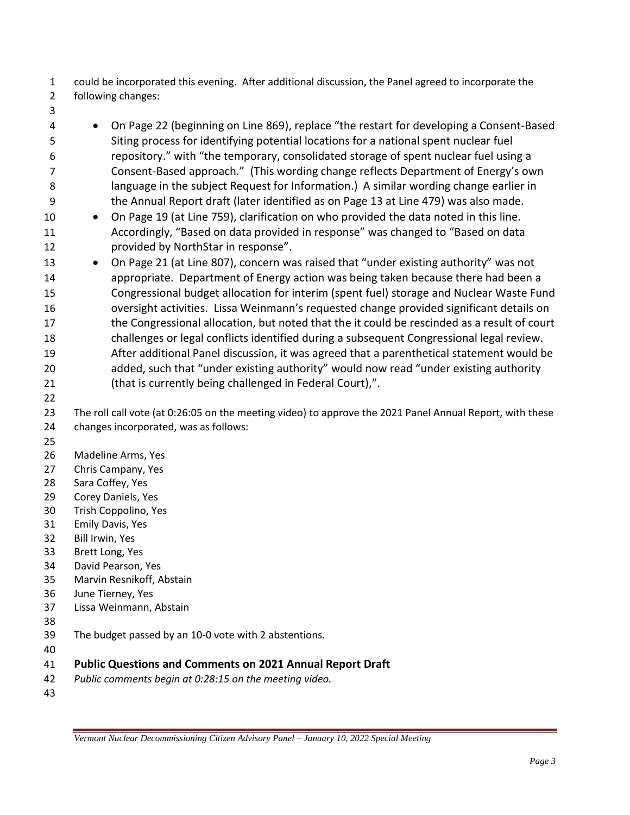could be incorporated this evening. After additional discussion, the Panel agreed to incorporate the following changes:

- 
- On Page 22 (beginning on Line 869), replace "the restart for developing a Consent-Based Siting process for identifying potential locations for a national spent nuclear fuel repository." with "the temporary, consolidated storage of spent nuclear fuel using a Consent-Based approach." (This wording change reflects Department of Energy's own language in the subject Request for Information.) A similar wording change earlier in the Annual Report draft (later identified as on Page 13 at Line 479) was also made.
- On Page 19 (at Line 759), clarification on who provided the data noted in this line. Accordingly, "Based on data provided in response" was changed to "Based on data provided by NorthStar in response".
- On Page 21 (at Line 807), concern was raised that "under existing authority" was not appropriate. Department of Energy action was being taken because there had been a Congressional budget allocation for interim (spent fuel) storage and Nuclear Waste Fund oversight activities. Lissa Weinmann's requested change provided significant details on the Congressional allocation, but noted that the it could be rescinded as a result of court challenges or legal conflicts identified during a subsequent Congressional legal review. After additional Panel discussion, it was agreed that a parenthetical statement would be added, such that "under existing authority" would now read "under existing authority (that is currently being challenged in Federal Court),".
- 

- 
- Madeline Arms, Yes
- Chris Campany, Yes
- Sara Coffey, Yes
- Corey Daniels, Yes
- Trish Coppolino, Yes
- Emily Davis, Yes
- Bill Irwin, Yes
- Brett Long, Yes
- David Pearson, Yes
- Marvin Resnikoff, Abstain
- June Tierney, Yes
- Lissa Weinmann, Abstain
- 
- The budget passed by an 10-0 vote with 2 abstentions.
- 

## **Public Questions and Comments on 2021 Annual Report Draft**

- *Public comments begin at 0:28:15 on the meeting video.*
- 

 The roll call vote (at 0:26:05 on the meeting video) to approve the 2021 Panel Annual Report, with these changes incorporated, was as follows: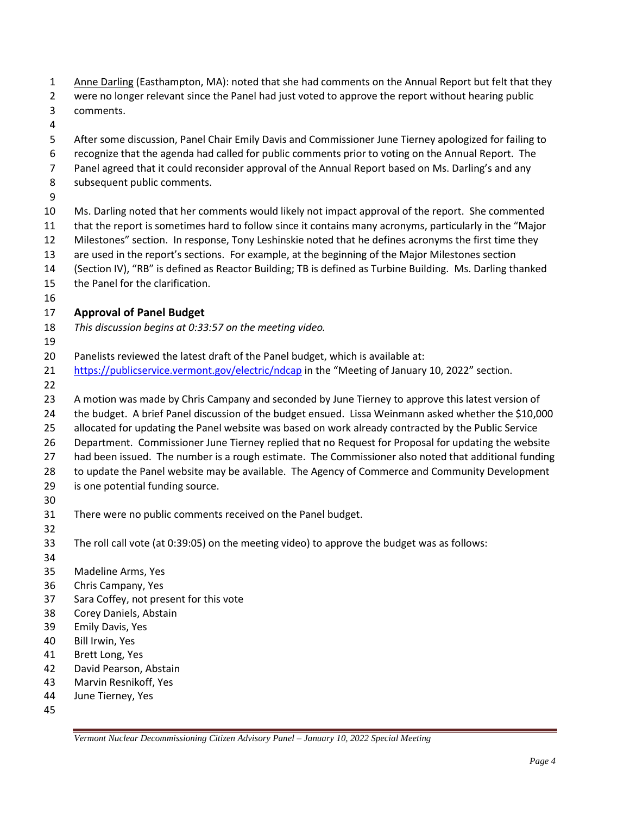- 1 Anne Darling (Easthampton, MA): noted that she had comments on the Annual Report but felt that they
- were no longer relevant since the Panel had just voted to approve the report without hearing public comments.
- 
- After some discussion, Panel Chair Emily Davis and Commissioner June Tierney apologized for failing to
- recognize that the agenda had called for public comments prior to voting on the Annual Report. The
- Panel agreed that it could reconsider approval of the Annual Report based on Ms. Darling's and any
- subsequent public comments.
- 
- Ms. Darling noted that her comments would likely not impact approval of the report. She commented that the report is sometimes hard to follow since it contains many acronyms, particularly in the "Major Milestones" section. In response, Tony Leshinskie noted that he defines acronyms the first time they are used in the report's sections. For example, at the beginning of the Major Milestones section
- (Section IV), "RB" is defined as Reactor Building; TB is defined as Turbine Building. Ms. Darling thanked
- the Panel for the clarification.
- 

# **Approval of Panel Budget**

- *This discussion begins at 0:33:57 on the meeting video.*
- 
- Panelists reviewed the latest draft of the Panel budget, which is available at:
- <https://publicservice.vermont.gov/electric/ndcap> in the "Meeting of January 10, 2022" section.
- 
- A motion was made by Chris Campany and seconded by June Tierney to approve this latest version of
- the budget. A brief Panel discussion of the budget ensued. Lissa Weinmann asked whether the \$10,000
- allocated for updating the Panel website was based on work already contracted by the Public Service
- Department. Commissioner June Tierney replied that no Request for Proposal for updating the website
- had been issued. The number is a rough estimate. The Commissioner also noted that additional funding
- to update the Panel website may be available. The Agency of Commerce and Community Development
- is one potential funding source.
- 
- There were no public comments received on the Panel budget.
- 
- The roll call vote (at 0:39:05) on the meeting video) to approve the budget was as follows:
- 

Madeline Arms, Yes

- Chris Campany, Yes
- Sara Coffey, not present for this vote
- Corey Daniels, Abstain
- Emily Davis, Yes
- Bill Irwin, Yes
- Brett Long, Yes
- David Pearson, Abstain
- Marvin Resnikoff, Yes
- June Tierney, Yes
-